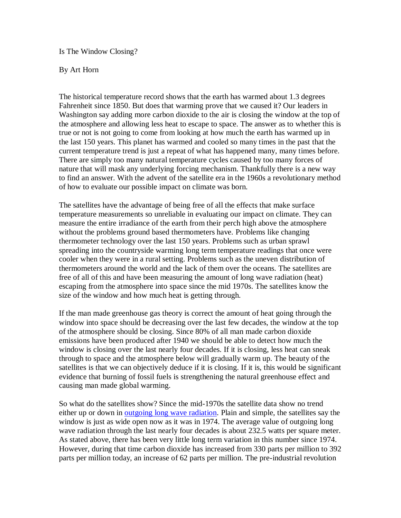Is The Window Closing?

## By Art Horn

The historical temperature record shows that the earth has warmed about 1.3 degrees Fahrenheit since 1850. But does that warming prove that we caused it? Our leaders in Washington say adding more carbon dioxide to the air is closing the window at the top of the atmosphere and allowing less heat to escape to space. The answer as to whether this is true or not is not going to come from looking at how much the earth has warmed up in the last 150 years. This planet has warmed and cooled so many times in the past that the current temperature trend is just a repeat of what has happened many, many times before. There are simply too many natural temperature cycles caused by too many forces of nature that will mask any underlying forcing mechanism. Thankfully there is a new way to find an answer. With the advent of the satellite era in the 1960s a revolutionary method of how to evaluate our possible impact on climate was born.

The satellites have the advantage of being free of all the effects that make surface temperature measurements so unreliable in evaluating our impact on climate. They can measure the entire irradiance of the earth from their perch high above the atmosphere without the problems ground based thermometers have. Problems like changing thermometer technology over the last 150 years. Problems such as urban sprawl spreading into the countryside warming long term temperature readings that once were cooler when they were in a rural setting. Problems such as the uneven distribution of thermometers around the world and the lack of them over the oceans. The satellites are free of all of this and have been measuring the amount of long wave radiation (heat) escaping from the atmosphere into space since the mid 1970s. The satellites know the size of the window and how much heat is getting through.

If the man made greenhouse gas theory is correct the amount of heat going through the window into space should be decreasing over the last few decades, the window at the top of the atmosphere should be closing. Since 80% of all man made carbon dioxide emissions have been produced after 1940 we should be able to detect how much the window is closing over the last nearly four decades. If it is closing, less heat can sneak through to space and the atmosphere below will gradually warm up. The beauty of the satellites is that we can objectively deduce if it is closing. If it is, this would be significant evidence that burning of fossil fuels is strengthening the natural greenhouse effect and causing man made global warming.

So what do the satellites show? Since the mid-1970s the satellite data show no trend either up or down in [outgoing long wave radiation.](http://www.climate4you.com/GlobalTemperatures.htm#Estimates of recent global temperature changehttp://www.climate4you.com/GlobalTemperatures.htm) Plain and simple, the satellites say the window is just as wide open now as it was in 1974. The average value of outgoing long wave radiation through the last nearly four decades is about 232.5 watts per square meter. As stated above, there has been very little long term variation in this number since 1974. However, during that time carbon dioxide has increased from 330 parts per million to 392 parts per million today, an increase of 62 parts per million. The pre-industrial revolution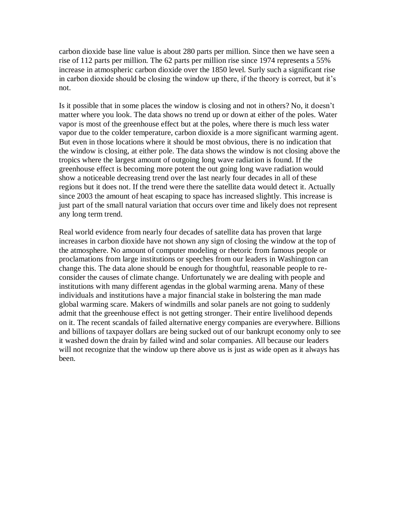carbon dioxide base line value is about 280 parts per million. Since then we have seen a rise of 112 parts per million. The 62 parts per million rise since 1974 represents a 55% increase in atmospheric carbon dioxide over the 1850 level. Surly such a significant rise in carbon dioxide should be closing the window up there, if the theory is correct, but it's not.

Is it possible that in some places the window is closing and not in others? No, it doesn't matter where you look. The data shows no trend up or down at either of the poles. Water vapor is most of the greenhouse effect but at the poles, where there is much less water vapor due to the colder temperature, carbon dioxide is a more significant warming agent. But even in those locations where it should be most obvious, there is no indication that the window is closing, at either pole. The data shows the window is not closing above the tropics where the largest amount of outgoing long wave radiation is found. If the greenhouse effect is becoming more potent the out going long wave radiation would show a noticeable decreasing trend over the last nearly four decades in all of these regions but it does not. If the trend were there the satellite data would detect it. Actually since 2003 the amount of heat escaping to space has increased slightly. This increase is just part of the small natural variation that occurs over time and likely does not represent any long term trend.

Real world evidence from nearly four decades of satellite data has proven that large increases in carbon dioxide have not shown any sign of closing the window at the top of the atmosphere. No amount of computer modeling or rhetoric from famous people or proclamations from large institutions or speeches from our leaders in Washington can change this. The data alone should be enough for thoughtful, reasonable people to reconsider the causes of climate change. Unfortunately we are dealing with people and institutions with many different agendas in the global warming arena. Many of these individuals and institutions have a major financial stake in bolstering the man made global warming scare. Makers of windmills and solar panels are not going to suddenly admit that the greenhouse effect is not getting stronger. Their entire livelihood depends on it. The recent scandals of failed alternative energy companies are everywhere. Billions and billions of taxpayer dollars are being sucked out of our bankrupt economy only to see it washed down the drain by failed wind and solar companies. All because our leaders will not recognize that the window up there above us is just as wide open as it always has been.